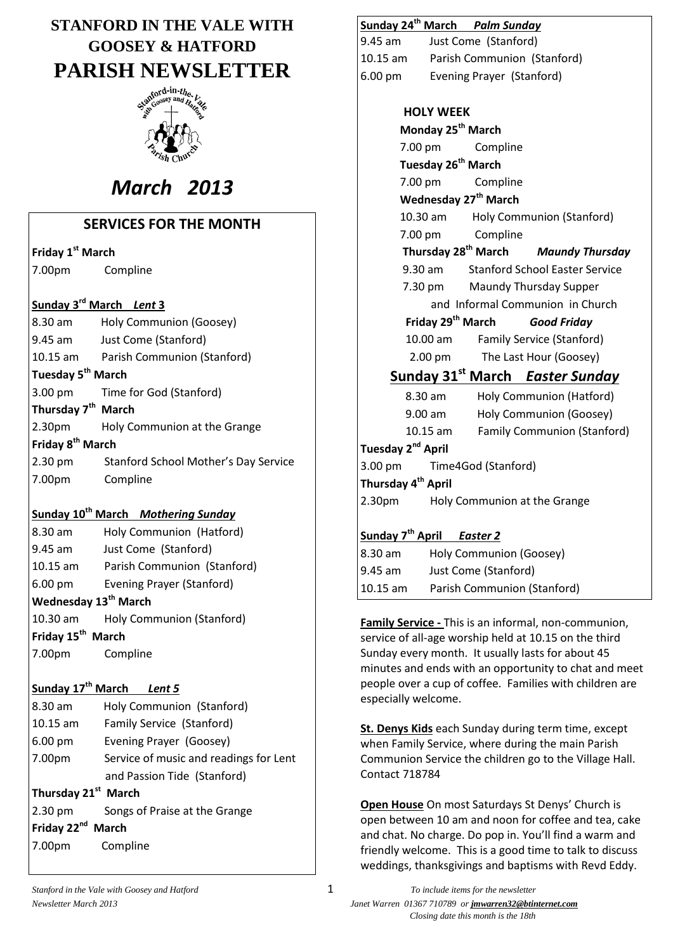# **STANFORD IN THE VALE WITH GOOSEY & HATFORD PARISH NEWSLETTER**



# *March 2013*

# **SERVICES FOR THE MONTH**

**Friday 1 st March**

7.00pm Compline

# **Sunday 3 rd March** *Lent* **3**

|                                | 8.30 am           | Holy Communion (Goosey)              |  |  |
|--------------------------------|-------------------|--------------------------------------|--|--|
|                                | 9.45 am           | Just Come (Stanford)                 |  |  |
|                                | $10.15$ am        | Parish Communion (Stanford)          |  |  |
| Tuesday 5 <sup>th</sup> March  |                   |                                      |  |  |
|                                |                   | 3.00 pm Time for God (Stanford)      |  |  |
| Thursday 7 <sup>th</sup> March |                   |                                      |  |  |
|                                |                   | 2.30pm Holy Communion at the Grange  |  |  |
| Friday 8 <sup>th</sup> March   |                   |                                      |  |  |
|                                | $2.30 \text{ pm}$ | Stanford School Mother's Day Service |  |  |
|                                | 7.00pm            | Compline                             |  |  |

# **Sunday 10th March** *Mothering Sunday*

| 8.30 am                          | Holy Communion (Hatford)         |  |  |  |  |
|----------------------------------|----------------------------------|--|--|--|--|
| $9.45$ am                        | Just Come (Stanford)             |  |  |  |  |
| $10.15$ am                       | Parish Communion (Stanford)      |  |  |  |  |
| $6.00 \text{ pm}$                | <b>Evening Prayer (Stanford)</b> |  |  |  |  |
| Wednesday 13 <sup>th</sup> March |                                  |  |  |  |  |
| $10.30$ am                       | <b>Holy Communion (Stanford)</b> |  |  |  |  |
| Friday 15 <sup>th</sup> March    |                                  |  |  |  |  |
| 7.00pm                           | Compline                         |  |  |  |  |

# **Sunday 17th March** *Lent 5* 8.30 am Holy Communion (Stanford) 10.15 am Family Service (Stanford) 6.00 pm Evening Prayer (Goosey) 7.00pm Service of music and readings for Lent and Passion Tide (Stanford) **Thursday 21st March** 2.30 pm Songs of Praise at the Grange Friday 22<sup>nd</sup> March 7.00pm Compline

# **Sunday 24th March** *Palm Sunday*

9.45 am Just Come (Stanford) 10.15 am Parish Communion (Stanford) 6.00 pm Evening Prayer (Stanford)

| <b>HOLY WEEK</b>                                   |                                 |                               |                                                    |  |  |  |
|----------------------------------------------------|---------------------------------|-------------------------------|----------------------------------------------------|--|--|--|
| Monday 25 <sup>th</sup> March                      |                                 |                               |                                                    |  |  |  |
|                                                    | 7.00 pm                         | Compline                      |                                                    |  |  |  |
|                                                    | Tuesday 26 <sup>th</sup> March  |                               |                                                    |  |  |  |
|                                                    |                                 | 7.00 pm Compline              |                                                    |  |  |  |
| Wednesday 27 <sup>th</sup> March                   |                                 |                               |                                                    |  |  |  |
|                                                    |                                 |                               | 10.30 am Holy Communion (Stanford)                 |  |  |  |
|                                                    | 7.00 pm                         | Compline                      |                                                    |  |  |  |
|                                                    | Thursday 28 <sup>th</sup> March |                               | <b>Maundy Thursday</b>                             |  |  |  |
|                                                    |                                 |                               | 9.30 am Stanford School Easter Service             |  |  |  |
|                                                    |                                 |                               | 7.30 pm Maundy Thursday Supper                     |  |  |  |
|                                                    |                                 |                               | and Informal Communion in Church                   |  |  |  |
|                                                    |                                 | Friday 29 <sup>th</sup> March | <b>Good Friday</b>                                 |  |  |  |
|                                                    | 10.00 am                        |                               | <b>Family Service (Stanford)</b>                   |  |  |  |
|                                                    | $2.00 \text{ pm}$               | The Last Hour (Goosey)        |                                                    |  |  |  |
|                                                    |                                 |                               | Sunday 31 <sup>st</sup> March <i>Easter Sunday</i> |  |  |  |
|                                                    | $8.30$ am                       |                               | Holy Communion (Hatford)                           |  |  |  |
| 9.00 am                                            |                                 | Holy Communion (Goosey)       |                                                    |  |  |  |
|                                                    | 10.15 am                        |                               | <b>Family Communion (Stanford)</b>                 |  |  |  |
| Tuesday 2 <sup>nd</sup> April                      |                                 |                               |                                                    |  |  |  |
| 3.00 pm                                            |                                 | Time4God (Stanford)           |                                                    |  |  |  |
| Thursday 4 <sup>th</sup> April                     |                                 |                               |                                                    |  |  |  |
| 2.30 <sub>pm</sub><br>Holy Communion at the Grange |                                 |                               |                                                    |  |  |  |
|                                                    |                                 |                               |                                                    |  |  |  |
| Sunday 7 <sup>th</sup> April Easter 2              |                                 |                               |                                                    |  |  |  |
| 8.30 am                                            |                                 | Holy Communion (Goosey)       |                                                    |  |  |  |
| Just Come (Stanford)<br>$9.45$ am                  |                                 |                               |                                                    |  |  |  |
| $10.15$ am                                         |                                 |                               | Parish Communion (Stanford)                        |  |  |  |

**Family Service -** This is an informal, non-communion, service of all-age worship held at 10.15 on the third Sunday every month. It usually lasts for about 45 minutes and ends with an opportunity to chat and meet people over a cup of coffee. Families with children are especially welcome.

**St. Denys Kids** each Sunday during term time, except when Family Service, where during the main Parish Communion Service the children go to the Village Hall. Contact 718784

**Open House** On most Saturdays St Denys' Church is open between 10 am and noon for coffee and tea, cake and chat. No charge. Do pop in. You'll find a warm and friendly welcome. This is a good time to talk to discuss weddings, thanksgivings and baptisms with Revd Eddy.

*Stanford in the Vale with Goosey and Hatford* 1 *To include items for the newsletter Newsletter March 2013 Janet Warren 01367 710789 or jmwarren32@btinternet.com Closing date this month is the 18th*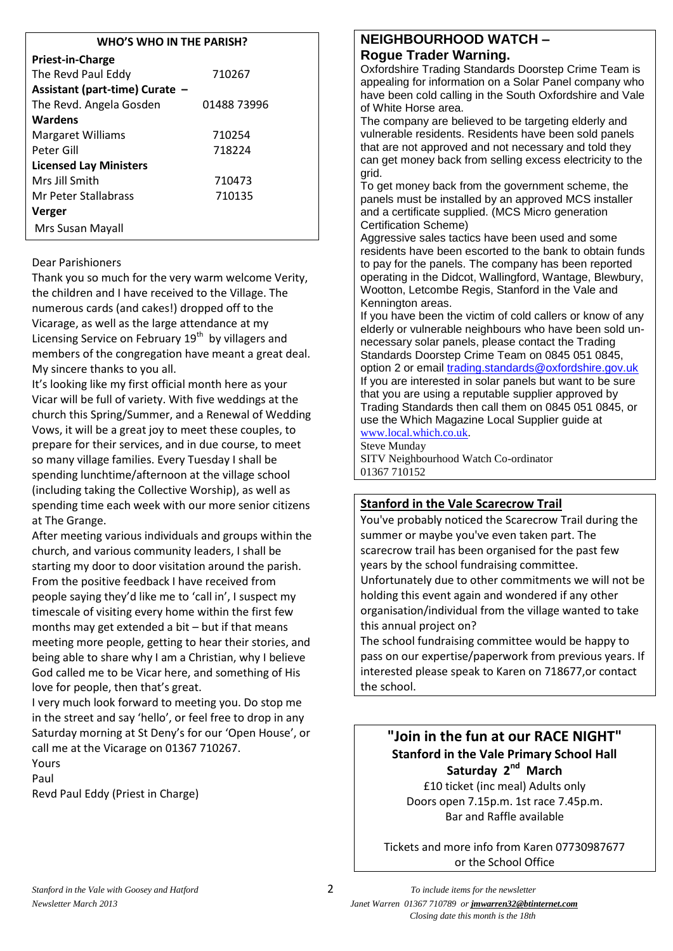#### **WHO'S WHO IN THE PARISH?**

| Priest-in-Charge               |             |  |  |  |
|--------------------------------|-------------|--|--|--|
| The Revd Paul Eddy             | 710267      |  |  |  |
| Assistant (part-time) Curate - |             |  |  |  |
| The Revd. Angela Gosden        | 01488 73996 |  |  |  |
| Wardens                        |             |  |  |  |
| Margaret Williams              | 710254      |  |  |  |
| Peter Gill                     | 718224      |  |  |  |
| <b>Licensed Lay Ministers</b>  |             |  |  |  |
| Mrs Jill Smith                 | 710473      |  |  |  |
| Mr Peter Stallabrass           | 710135      |  |  |  |
| <b>Verger</b>                  |             |  |  |  |
| Mrs Susan Mayall               |             |  |  |  |

### Dear Parishioners

Thank you so much for the very warm welcome Verity, the children and I have received to the Village. The numerous cards (and cakes!) dropped off to the Vicarage, as well as the large attendance at my Licensing Service on February 19<sup>th</sup> by villagers and members of the congregation have meant a great deal. My sincere thanks to you all.

It's looking like my first official month here as your Vicar will be full of variety. With five weddings at the church this Spring/Summer, and a Renewal of Wedding Vows, it will be a great joy to meet these couples, to prepare for their services, and in due course, to meet so many village families. Every Tuesday I shall be spending lunchtime/afternoon at the village school (including taking the Collective Worship), as well as spending time each week with our more senior citizens at The Grange.

After meeting various individuals and groups within the church, and various community leaders, I shall be starting my door to door visitation around the parish. From the positive feedback I have received from people saying they'd like me to 'call in', I suspect my timescale of visiting every home within the first few months may get extended a bit – but if that means meeting more people, getting to hear their stories, and being able to share why I am a Christian, why I believe God called me to be Vicar here, and something of His love for people, then that's great.

I very much look forward to meeting you. Do stop me in the street and say 'hello', or feel free to drop in any Saturday morning at St Deny's for our 'Open House', or call me at the Vicarage on 01367 710267.

Yours Paul

Revd Paul Eddy (Priest in Charge)

# **NEIGHBOURHOOD WATCH – Rogue Trader Warning.**

Oxfordshire Trading Standards Doorstep Crime Team is appealing for information on a Solar Panel company who have been cold calling in the South Oxfordshire and Vale of White Horse area.

The company are believed to be targeting elderly and vulnerable residents. Residents have been sold panels that are not approved and not necessary and told they can get money back from selling excess electricity to the grid.

To get money back from the government scheme, the panels must be installed by an approved MCS installer and a certificate supplied. (MCS Micro generation Certification Scheme)

Aggressive sales tactics have been used and some residents have been escorted to the bank to obtain funds to pay for the panels. The company has been reported operating in the Didcot, Wallingford, Wantage, Blewbury, Wootton, Letcombe Regis, Stanford in the Vale and Kennington areas.

If you have been the victim of cold callers or know of any elderly or vulnerable neighbours who have been sold unnecessary solar panels, please contact the Trading Standards Doorstep Crime Team on 0845 051 0845, option 2 or email [trading.standards@oxfordshire.gov.uk](mailto:trading.standards@oxfordshire.gov.uk) If you are interested in solar panels but want to be sure that you are using a reputable supplier approved by Trading Standards then call them on 0845 051 0845, or use the Which Magazine Local Supplier guide at [www.local.which.co.uk.](http://www.local.which.co.uk/)

Steve Munday

SITV Neighbourhood Watch Co-ordinator 01367 710152

# **Stanford in the Vale Scarecrow Trail**

You've probably noticed the Scarecrow Trail during the summer or maybe you've even taken part. The scarecrow trail has been organised for the past few years by the school fundraising committee. Unfortunately due to other commitments we will not be holding this event again and wondered if any other organisation/individual from the village wanted to take this annual project on?

The school fundraising committee would be happy to pass on our expertise/paperwork from previous years. If interested please speak to Karen on 718677,or contact the school.

**"Join in the fun at our RACE NIGHT" Stanford in the Vale Primary School Hall Saturday 2nd March** £10 ticket (inc meal) Adults only

Doors open 7.15p.m. 1st race 7.45p.m. Bar and Raffle available

Tickets and more info from Karen 07730987677 or the School Office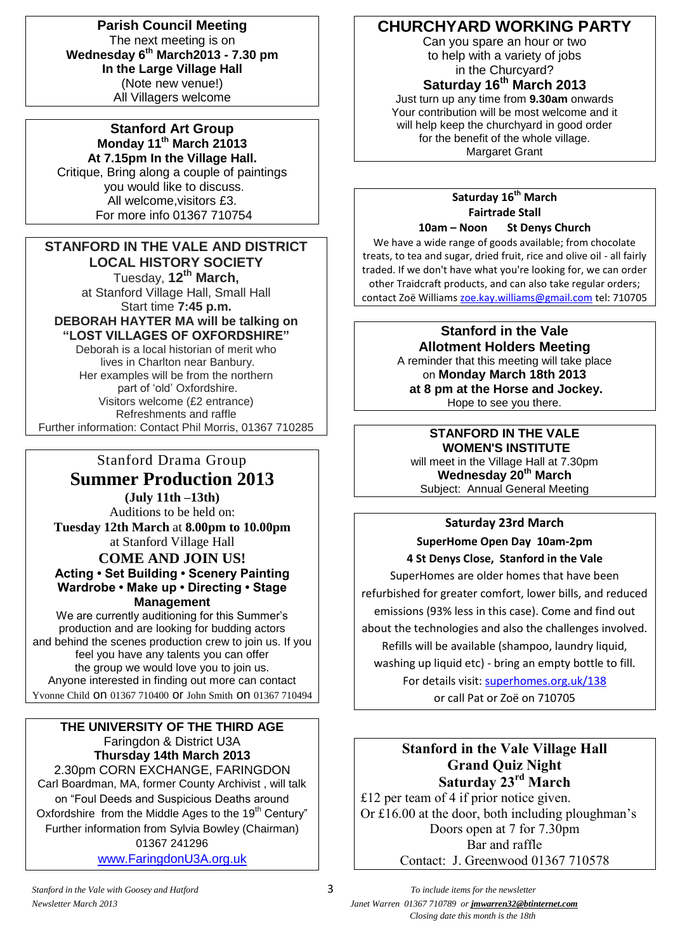**Parish Council Meeting** The next meeting is on **Wednesday 6th March2013 - 7.30 pm In the Large Village Hall** (Note new venue!) All Villagers welcome

**Stanford Art Group Monday 11th March 21013 At 7.15pm In the Village Hall.** Critique, Bring along a couple of paintings you would like to discuss. All welcome,visitors £3. For more info 01367 710754

### **STANFORD IN THE VALE AND DISTRICT LOCAL HISTORY SOCIETY** Tuesday, **12th March,**  at Stanford Village Hall, Small Hall Start time **7:45 p.m. DEBORAH HAYTER MA will be talking on "LOST VILLAGES OF OXFORDSHIRE"**

Deborah is a local historian of merit who lives in Charlton near Banbury. Her examples will be from the northern part of 'old' Oxfordshire. Visitors welcome (£2 entrance) Refreshments and raffle Further information: Contact Phil Morris, 01367 710285

Stanford Drama Group **Summer Production 2013 (July 11th –13th)** Auditions to be held on: **Tuesday 12th March** at **8.00pm to 10.00pm** at Stanford Village Hall **COME AND JOIN US! Acting • Set Building • Scenery Painting Wardrobe • Make up • Directing • Stage Management**

We are currently auditioning for this Summer's production and are looking for budding actors and behind the scenes production crew to join us. If you feel you have any talents you can offer the group we would love you to join us. Anyone interested in finding out more can contact Yvonne Child on 01367 710400 or John Smith on 01367 710494

### **THE UNIVERSITY OF THE THIRD AGE** Faringdon & District U3A **Thursday 14th March 2013** 2.30pm CORN EXCHANGE, FARINGDON Carl Boardman, MA, former County Archivist , will talk on "Foul Deeds and Suspicious Deaths around

Oxfordshire from the Middle Ages to the 19<sup>th</sup> Century" Further information from Sylvia Bowley (Chairman) 01367 241296

[www.FaringdonU3A.org.uk](http://www.faringdonu3a.org.uk/)

# **CHURCHYARD WORKING PARTY**

Can you spare an hour or two to help with a variety of jobs in the Churcyard?

**Saturday 16 th March 2013**

Just turn up any time from **9.30am** onwards Your contribution will be most welcome and it will help keep the churchyard in good order for the benefit of the whole village. Margaret Grant

### **Saturday 16th March Fairtrade Stall 10am – Noon St Denys Church**

We have a wide range of goods available; from chocolate treats, to tea and sugar, dried fruit, rice and olive oil - all fairly traded. If we don't have what you're looking for, we can order other Traidcraft products, and can also take regular orders; contact Zoë Williams [zoe.kay.williams@gmail.com](mailto:zoe.kay.williams@gmail.com) tel: 710705

### **Stanford in the Vale Allotment Holders Meeting**

A reminder that this meeting will take place on **Monday March 18th 2013 at 8 pm at the Horse and Jockey.** Hope to see you there.

# **STANFORD IN THE VALE**

**WOMEN'S INSTITUTE** will meet in the Village Hall at 7.30pm **Wednesday 20th March** Subject: Annual General Meeting

# **Saturday 23rd March**

**SuperHome Open Day 10am-2pm**

**4 St Denys Close, Stanford in the Vale** SuperHomes are older homes that have been refurbished for greater comfort, lower bills, and reduced emissions (93% less in this case). Come and find out about the technologies and also the challenges involved. Refills will be available (shampoo, laundry liquid, washing up liquid etc) - bring an empty bottle to fill. For details visit: [superhomes.org.uk/138](http://superhomes.org.uk/138) or call Pat or Zoë on 710705

# **Stanford in the Vale Village Hall Grand Quiz Night Saturday 23rd March**

£12 per team of 4 if prior notice given. Or £16.00 at the door, both including ploughman's Doors open at 7 for 7.30pm Bar and raffle Contact: J. Greenwood 01367 710578

*Newsletter March 2013 Janet Warren 01367 710789 or jmwarren32@btinternet.com Closing date this month is the 18th*